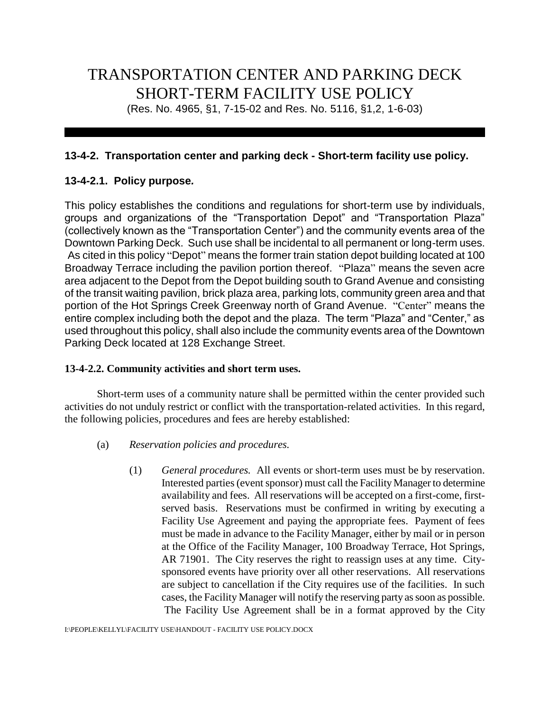# TRANSPORTATION CENTER AND PARKING DECK SHORT-TERM FACILITY USE POLICY

(Res. No. 4965, §1, 7-15-02 and Res. No. 5116, §1,2, 1-6-03)

# **13-4-2. Transportation center and parking deck - Short-term facility use policy.**

# **13-4-2.1. Policy purpose***.*

This policy establishes the conditions and regulations for short-term use by individuals, groups and organizations of the "Transportation Depot" and "Transportation Plaza" (collectively known as the "Transportation Center") and the community events area of the Downtown Parking Deck. Such use shall be incidental to all permanent or long-term uses. As cited in this policy "Depot" means the former train station depot building located at 100 Broadway Terrace including the pavilion portion thereof. "Plaza" means the seven acre area adjacent to the Depot from the Depot building south to Grand Avenue and consisting of the transit waiting pavilion, brick plaza area, parking lots, community green area and that portion of the Hot Springs Creek Greenway north of Grand Avenue. "Center" means the entire complex including both the depot and the plaza. The term "Plaza" and "Center," as used throughout this policy, shall also include the community events area of the Downtown Parking Deck located at 128 Exchange Street.

#### **13-4-2.2. Community activities and short term uses.**

Short-term uses of a community nature shall be permitted within the center provided such activities do not unduly restrict or conflict with the transportation-related activities. In this regard, the following policies, procedures and fees are hereby established:

- (a) *Reservation policies and procedures.*
	- (1) *General procedures.* All events or short-term uses must be by reservation. Interested parties (event sponsor) must call the Facility Manager to determine availability and fees. All reservations will be accepted on a first-come, firstserved basis. Reservations must be confirmed in writing by executing a Facility Use Agreement and paying the appropriate fees. Payment of fees must be made in advance to the Facility Manager, either by mail or in person at the Office of the Facility Manager, 100 Broadway Terrace, Hot Springs, AR 71901. The City reserves the right to reassign uses at any time. Citysponsored events have priority over all other reservations. All reservations are subject to cancellation if the City requires use of the facilities. In such cases, the Facility Manager will notify the reserving party as soon as possible. The Facility Use Agreement shall be in a format approved by the City

I:\PEOPLE\KELLYL\FACILITY USE\HANDOUT - FACILITY USE POLICY.DOCX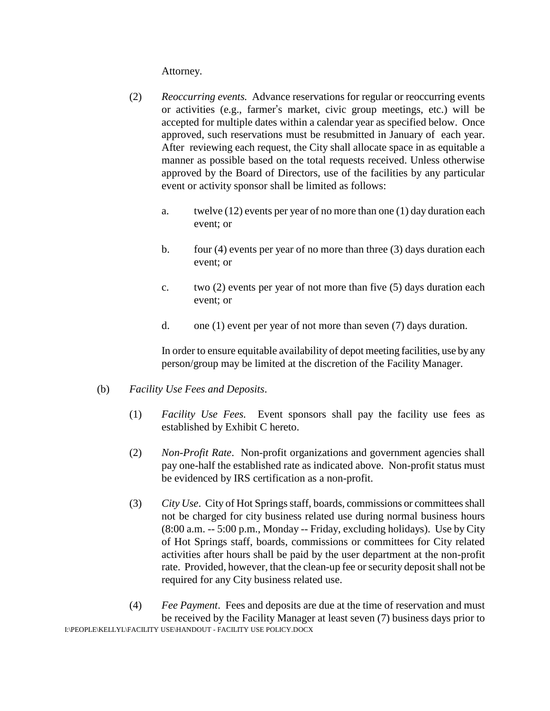Attorney.

- (2) *Reoccurring events.* Advance reservations for regular or reoccurring events or activities (e.g., farmer's market, civic group meetings, etc.) will be accepted for multiple dates within a calendar year as specified below. Once approved, such reservations must be resubmitted in January of each year. After reviewing each request, the City shall allocate space in as equitable a manner as possible based on the total requests received. Unless otherwise approved by the Board of Directors, use of the facilities by any particular event or activity sponsor shall be limited as follows:
	- a. twelve (12) events per year of no more than one (1) day duration each event; or
	- b. four (4) events per year of no more than three (3) days duration each event; or
	- c. two (2) events per year of not more than five (5) days duration each event; or
	- d. one (1) event per year of not more than seven (7) days duration.

In order to ensure equitable availability of depot meeting facilities, use by any person/group may be limited at the discretion of the Facility Manager.

- (b) *Facility Use Fees and Deposits*.
	- (1) *Facility Use Fees.* Event sponsors shall pay the facility use fees as established by Exhibit C hereto.
	- (2) *Non-Profit Rate*. Non-profit organizations and government agencies shall pay one-half the established rate as indicated above. Non-profit status must be evidenced by IRS certification as a non-profit.
	- (3) *City Use*. City of Hot Springs staff, boards, commissions or committees shall not be charged for city business related use during normal business hours (8:00 a.m. -- 5:00 p.m., Monday -- Friday, excluding holidays). Use by City of Hot Springs staff, boards, commissions or committees for City related activities after hours shall be paid by the user department at the non-profit rate. Provided, however, that the clean-up fee or security deposit shall not be required for any City business related use.
- I:\PEOPLE\KELLYL\FACILITY USE\HANDOUT FACILITY USE POLICY.DOCX (4) *Fee Payment*. Fees and deposits are due at the time of reservation and must be received by the Facility Manager at least seven (7) business days prior to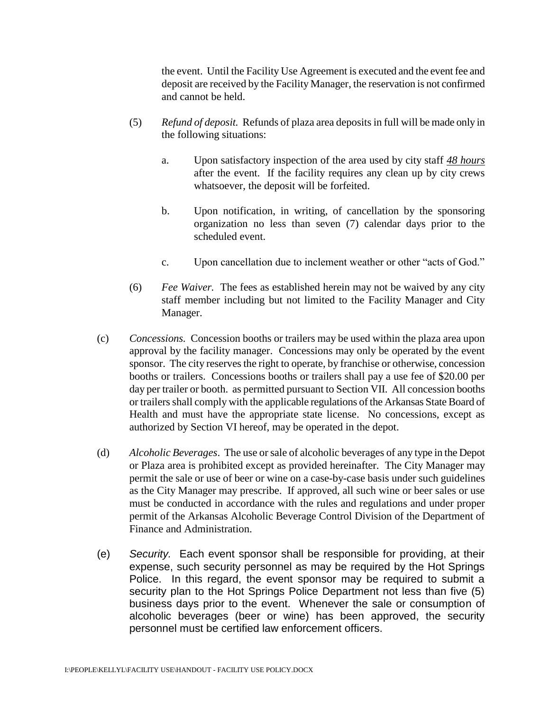the event. Until the Facility Use Agreement is executed and the event fee and deposit are received by the Facility Manager, the reservation is not confirmed and cannot be held.

- (5) *Refund of deposit.* Refunds of plaza area deposits in full will be made only in the following situations:
	- a. Upon satisfactory inspection of the area used by city staff *48 hours* after the event. If the facility requires any clean up by city crews whatsoever, the deposit will be forfeited.
	- b. Upon notification, in writing, of cancellation by the sponsoring organization no less than seven (7) calendar days prior to the scheduled event.
	- c. Upon cancellation due to inclement weather or other "acts of God."
- (6) *Fee Waiver.* The fees as established herein may not be waived by any city staff member including but not limited to the Facility Manager and City Manager.
- (c) *Concessions.* Concession booths or trailers may be used within the plaza area upon approval by the facility manager. Concessions may only be operated by the event sponsor. The city reserves the right to operate, by franchise or otherwise, concession booths or trailers. Concessions booths or trailers shall pay a use fee of \$20.00 per day per trailer or booth. as permitted pursuant to Section VII. All concession booths or trailers shall comply with the applicable regulations of the Arkansas State Board of Health and must have the appropriate state license. No concessions, except as authorized by Section VI hereof, may be operated in the depot.
- (d) *Alcoholic Beverages*. The use or sale of alcoholic beverages of any type in the Depot or Plaza area is prohibited except as provided hereinafter. The City Manager may permit the sale or use of beer or wine on a case-by-case basis under such guidelines as the City Manager may prescribe. If approved, all such wine or beer sales or use must be conducted in accordance with the rules and regulations and under proper permit of the Arkansas Alcoholic Beverage Control Division of the Department of Finance and Administration.
- (e) *Security.* Each event sponsor shall be responsible for providing, at their expense, such security personnel as may be required by the Hot Springs Police. In this regard, the event sponsor may be required to submit a security plan to the Hot Springs Police Department not less than five (5) business days prior to the event. Whenever the sale or consumption of alcoholic beverages (beer or wine) has been approved, the security personnel must be certified law enforcement officers.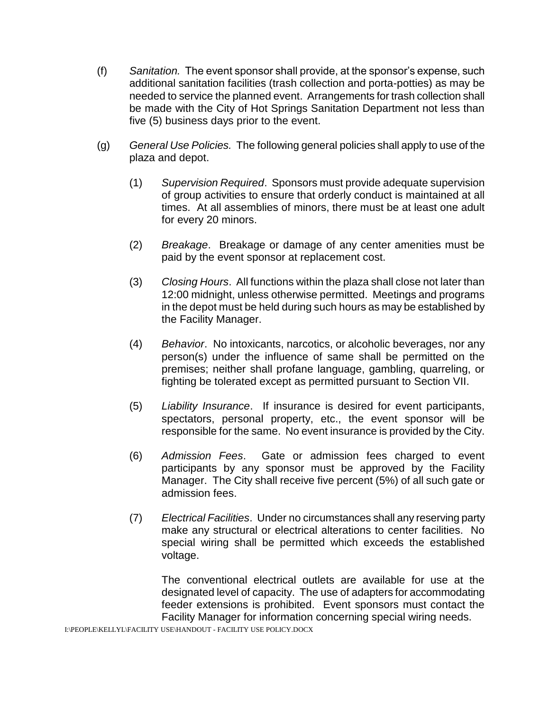- (f) *Sanitation.* The event sponsor shall provide, at the sponsor's expense, such additional sanitation facilities (trash collection and porta-potties) as may be needed to service the planned event. Arrangements for trash collection shall be made with the City of Hot Springs Sanitation Department not less than five (5) business days prior to the event.
- (g) *General Use Policies.* The following general policies shall apply to use of the plaza and depot.
	- (1) *Supervision Required*. Sponsors must provide adequate supervision of group activities to ensure that orderly conduct is maintained at all times. At all assemblies of minors, there must be at least one adult for every 20 minors.
	- (2) *Breakage*. Breakage or damage of any center amenities must be paid by the event sponsor at replacement cost.
	- (3) *Closing Hours*. All functions within the plaza shall close not later than 12:00 midnight, unless otherwise permitted. Meetings and programs in the depot must be held during such hours as may be established by the Facility Manager.
	- (4) *Behavior*. No intoxicants, narcotics, or alcoholic beverages, nor any person(s) under the influence of same shall be permitted on the premises; neither shall profane language, gambling, quarreling, or fighting be tolerated except as permitted pursuant to Section VII.
	- (5) *Liability Insurance*. If insurance is desired for event participants, spectators, personal property, etc., the event sponsor will be responsible for the same. No event insurance is provided by the City.
	- (6) *Admission Fees*. Gate or admission fees charged to event participants by any sponsor must be approved by the Facility Manager. The City shall receive five percent (5%) of all such gate or admission fees.
	- (7) *Electrical Facilities*. Under no circumstances shall any reserving party make any structural or electrical alterations to center facilities. No special wiring shall be permitted which exceeds the established voltage.

The conventional electrical outlets are available for use at the designated level of capacity. The use of adapters for accommodating feeder extensions is prohibited. Event sponsors must contact the Facility Manager for information concerning special wiring needs.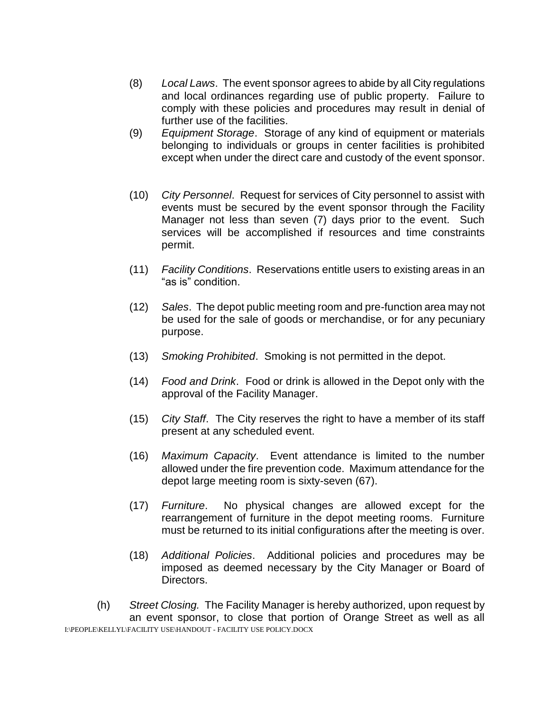- (8) *Local Laws*. The event sponsor agrees to abide by all City regulations and local ordinances regarding use of public property. Failure to comply with these policies and procedures may result in denial of further use of the facilities.
- (9) *Equipment Storage*. Storage of any kind of equipment or materials belonging to individuals or groups in center facilities is prohibited except when under the direct care and custody of the event sponsor.
- (10) *City Personnel*. Request for services of City personnel to assist with events must be secured by the event sponsor through the Facility Manager not less than seven (7) days prior to the event. Such services will be accomplished if resources and time constraints permit.
- (11) *Facility Conditions*. Reservations entitle users to existing areas in an "as is" condition.
- (12) *Sales*. The depot public meeting room and pre-function area may not be used for the sale of goods or merchandise, or for any pecuniary purpose.
- (13) *Smoking Prohibited*. Smoking is not permitted in the depot.
- (14) *Food and Drink*. Food or drink is allowed in the Depot only with the approval of the Facility Manager.
- (15) *City Staff*. The City reserves the right to have a member of its staff present at any scheduled event.
- (16) *Maximum Capacity*. Event attendance is limited to the number allowed under the fire prevention code. Maximum attendance for the depot large meeting room is sixty-seven (67).
- (17) *Furniture*. No physical changes are allowed except for the rearrangement of furniture in the depot meeting rooms. Furniture must be returned to its initial configurations after the meeting is over.
- (18) *Additional Policies*. Additional policies and procedures may be imposed as deemed necessary by the City Manager or Board of Directors.

I:\PEOPLE\KELLYL\FACILITY USE\HANDOUT - FACILITY USE POLICY.DOCX (h) *Street Closing.* The Facility Manager is hereby authorized, upon request by an event sponsor, to close that portion of Orange Street as well as all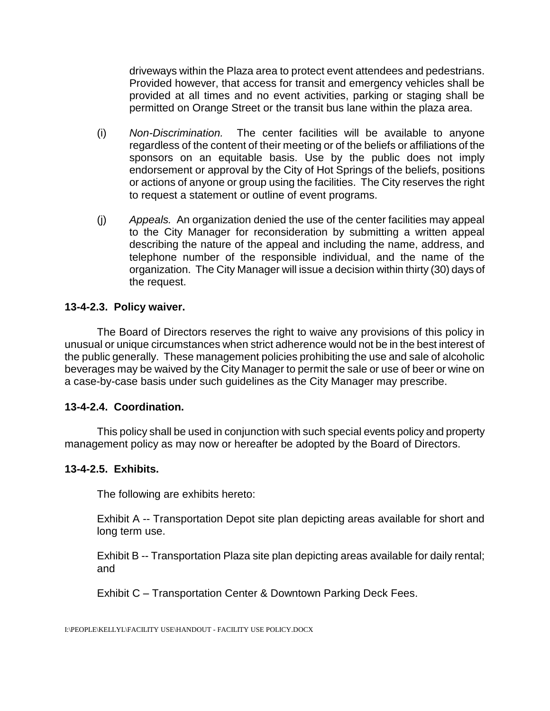driveways within the Plaza area to protect event attendees and pedestrians. Provided however, that access for transit and emergency vehicles shall be provided at all times and no event activities, parking or staging shall be permitted on Orange Street or the transit bus lane within the plaza area.

- (i) *Non-Discrimination.* The center facilities will be available to anyone regardless of the content of their meeting or of the beliefs or affiliations of the sponsors on an equitable basis. Use by the public does not imply endorsement or approval by the City of Hot Springs of the beliefs, positions or actions of anyone or group using the facilities. The City reserves the right to request a statement or outline of event programs.
- (j) *Appeals.* An organization denied the use of the center facilities may appeal to the City Manager for reconsideration by submitting a written appeal describing the nature of the appeal and including the name, address, and telephone number of the responsible individual, and the name of the organization. The City Manager will issue a decision within thirty (30) days of the request.

#### **13-4-2.3. Policy waiver.**

The Board of Directors reserves the right to waive any provisions of this policy in unusual or unique circumstances when strict adherence would not be in the best interest of the public generally. These management policies prohibiting the use and sale of alcoholic beverages may be waived by the City Manager to permit the sale or use of beer or wine on a case-by-case basis under such guidelines as the City Manager may prescribe.

#### **13-4-2.4. Coordination.**

This policy shall be used in conjunction with such special events policy and property management policy as may now or hereafter be adopted by the Board of Directors.

#### **13-4-2.5. Exhibits.**

The following are exhibits hereto:

Exhibit A -- Transportation Depot site plan depicting areas available for short and long term use.

Exhibit B -- Transportation Plaza site plan depicting areas available for daily rental; and

Exhibit C – Transportation Center & Downtown Parking Deck Fees.